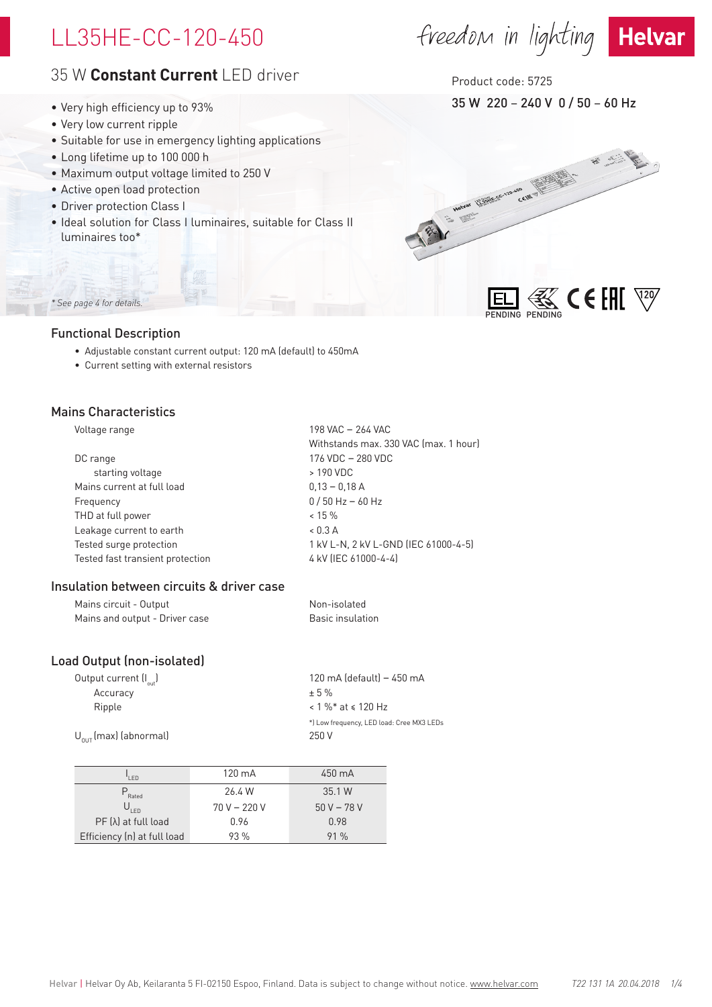# LL35HE-CC-120-450

# 35 W **Constant Current** LED driver

- Very high efficiency up to 93%
- Very low current ripple
- Suitable for use in emergency lighting applications
- Long lifetime up to 100 000 h
- Maximum output voltage limited to 250 V
- Active open load protection
- Driver protection Class I
- Ideal solution for Class I luminaires, suitable for Class II luminaires too\*

# *\* See page 4 for details.*

# Functional Description

- Adjustable constant current output: 120 mA (default) to 450mA
- Current setting with external resistors

# Mains Characteristics

Voltage range 198 VAC – 264 VAC

|                                  | Withstands max. 330 VAC (max. 1 hour) |
|----------------------------------|---------------------------------------|
| DC range                         | 176 VDC - 280 VDC                     |
| starting voltage                 | > 190 VDC                             |
| Mains current at full load       | $0,13 - 0,18$ A                       |
| Frequency                        | $0/50$ Hz - 60 Hz                     |
| THD at full power                | $< 15 \%$                             |
| Leakage current to earth         | $< 0.3 \text{ A}$                     |
| Tested surge protection          | 1 kV L-N, 2 kV L-GND (IEC 61000-4-5)  |
| Tested fast transient protection | 4 kV (IEC 61000-4-4)                  |
|                                  |                                       |

# Insulation between circuits & driver case

| Mains circuit - Output         | Non-isolated     |
|--------------------------------|------------------|
| Mains and output - Driver case | Basic insulation |

# Load Output (non-isolated)

| Output current (I <sub>out</sub> ) | 120 mA (default) – 450 mA                 |
|------------------------------------|-------------------------------------------|
| Accuracy                           | $+5%$                                     |
| Ripple                             | $< 1 \%$ * at $\le 120$ Hz                |
|                                    | *) Low frequency, LED load: Cree MX3 LEDs |
| $U_{\text{out}}$ (max) (abnormal)  | 250 V                                     |
|                                    |                                           |

| I FD                        | $120 \text{ mA}$ | 450 mA      |
|-----------------------------|------------------|-------------|
| ,<br>Rated                  | 26.4 W           | 35.1 W      |
| $U_{LED}$                   | $70 V - 220 V$   | $50V - 78V$ |
| $PF(\lambda)$ at full load  | 0.96             | 0.98        |
| Efficiency (n) at full load | 93%              | 91%         |

# freedom in lighting Helvar



35 W 220 – 240 V 0 / 50 – 60 Hz Product code: 5725

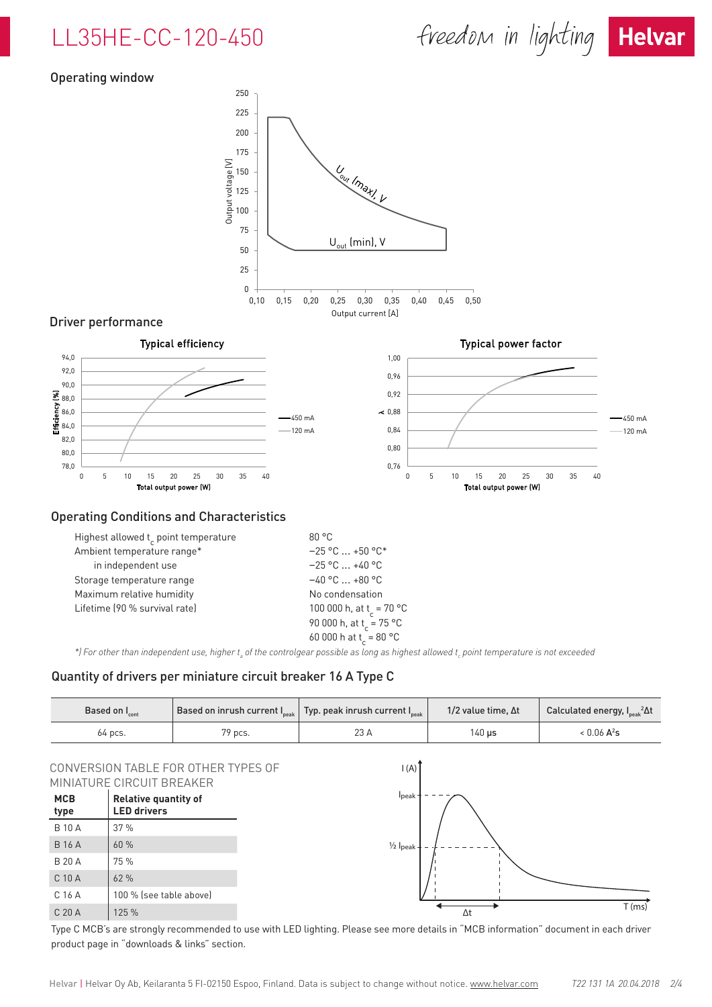



# Operating window



| ATTIBICTIC CONTINUES CONTROL  | <u>LUUIUUU</u>                       |
|-------------------------------|--------------------------------------|
| in independent use            | $-25$ °C  +40 °C                     |
| Storage temperature range     | $-40$ °C $\ldots$ +80 °C             |
| Maximum relative humidity     | No condensation                      |
| Lifetime (90 % survival rate) | 100 000 h, at t <sub>r</sub> = 70 °C |
|                               | 90 000 h, at t <sub>r</sub> = 75 °C  |
|                               | 60 000 h at t <sub>r</sub> = 80 °C   |
|                               |                                      |

\*) For other than independent use, higher t<sub>a</sub> of the controlgear possible as long as highest allowed t<sub>c</sub> point temperature is not exceeded

## Quantity of drivers per miniature circuit breaker 16 A Type C

| Based on $\bm{\mathsf{I}}_{\mathsf{cont}}$ |         | Based on inrush current $I_{\tiny{peak}}$ Typ. peak inrush current $I_{\tiny{peak}}$ | 1/2 value time, $\Delta t$ | Calculated energy, $I_{peak}^2\Delta t$ |  |
|--------------------------------------------|---------|--------------------------------------------------------------------------------------|----------------------------|-----------------------------------------|--|
| 64 pcs.                                    | 79 pcs. |                                                                                      | 140 us                     | $< 0.06 A^2$ s                          |  |

## CONVERSION TABLE FOR OTHER TYPES OF MINIATURE CIRCUIT BREAKER

| MCB<br>type       | <b>Relative quantity of</b><br><b>LED drivers</b> |
|-------------------|---------------------------------------------------|
| <b>B</b> 10 A     | 37%                                               |
| <b>B</b> 16 A     | 60 %                                              |
| B 20 A            | 75 %                                              |
| $C$ 10 A          | 62%                                               |
| C 16 A            | 100 % (see table above)                           |
| C <sub>20</sub> A | 125 %                                             |



Type C MCB's are strongly recommended to use with LED lighting. Please see more details in "MCB information" document in each driver product page in "downloads & links" section.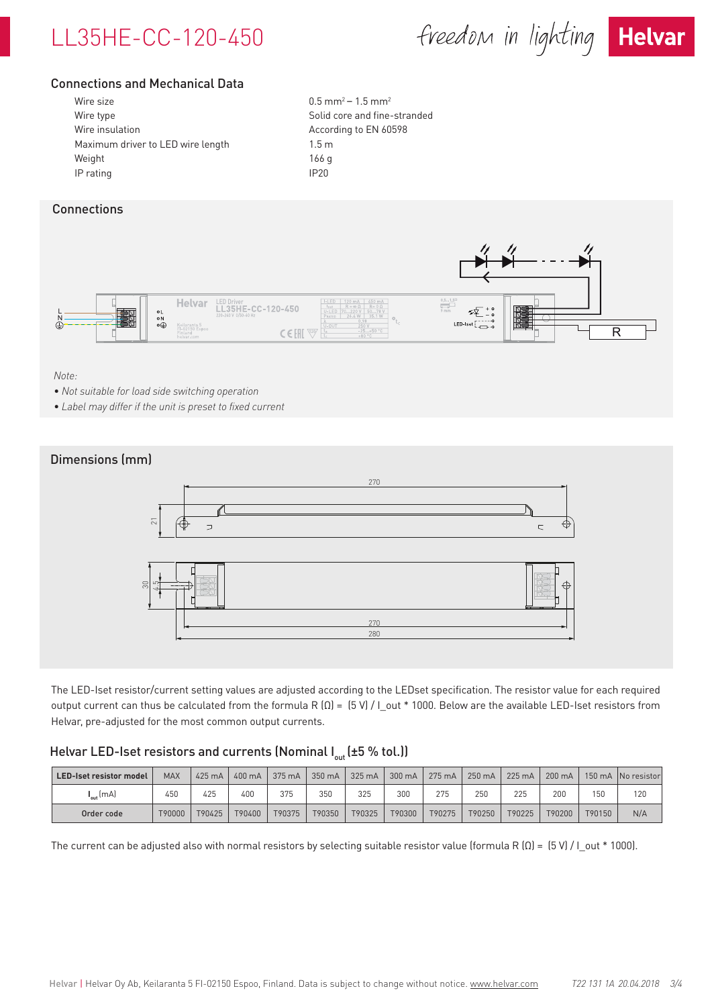

freedom in lighting Helvar



# Connections and Mechanical Data

| Wire size                         | 0.5 <sub>m</sub> |
|-----------------------------------|------------------|
| Wire type                         | Solid            |
| Wire insulation                   | Accor            |
| Maximum driver to LED wire length | 1.5 <sub>m</sub> |
| Weight                            | 166 g            |
| IP rating                         | IP20             |

 $0.5$  mm<sup>2</sup> – 1.5 mm<sup>2</sup> Solid core and fine-stranded According to EN 60598

# **Connections**



#### *Note:*

- *• Not suitable for load side switching operation*
- *• Label may differ if the unit is preset to fixed current*



The LED-Iset resistor/current setting values are adjusted according to the LEDset specification. The resistor value for each required output current can thus be calculated from the formula R (Ω) = (5 V) / I\_out \* 1000. Below are the available LED-Iset resistors from Helvar, pre-adjusted for the most common output currents.

# Helvar LED-Iset resistors and currents (Nominal  $I_{out}$  (±5 % tol.))

| <b>LED-Iset resistor model</b> | <b>MAX</b> | 425 mA | 400 mA | 375 mA | $350 \text{ mA}$ | 325 mA | 300 mA | 275 mA | 250 mA | 225 mA | $200 \text{ mA}$ |        | 150 mA No resistor |
|--------------------------------|------------|--------|--------|--------|------------------|--------|--------|--------|--------|--------|------------------|--------|--------------------|
| ${\sf I}_{\sf out}$ (mA)       | 450        | 425    | 400    | 375    | 350              | 325    | 300    | 275    | 250    | 225    | 200              | 150    | 120                |
| Order code                     | T90000     | T90425 | T90400 | T90375 | T90350           | T90325 | T90300 | T90275 | T90250 | T90225 | T90200           | T90150 | N/A                |

The current can be adjusted also with normal resistors by selecting suitable resistor value (formula R  $(\Omega) = (5 \text{ V}) /$  I\_out \* 1000).